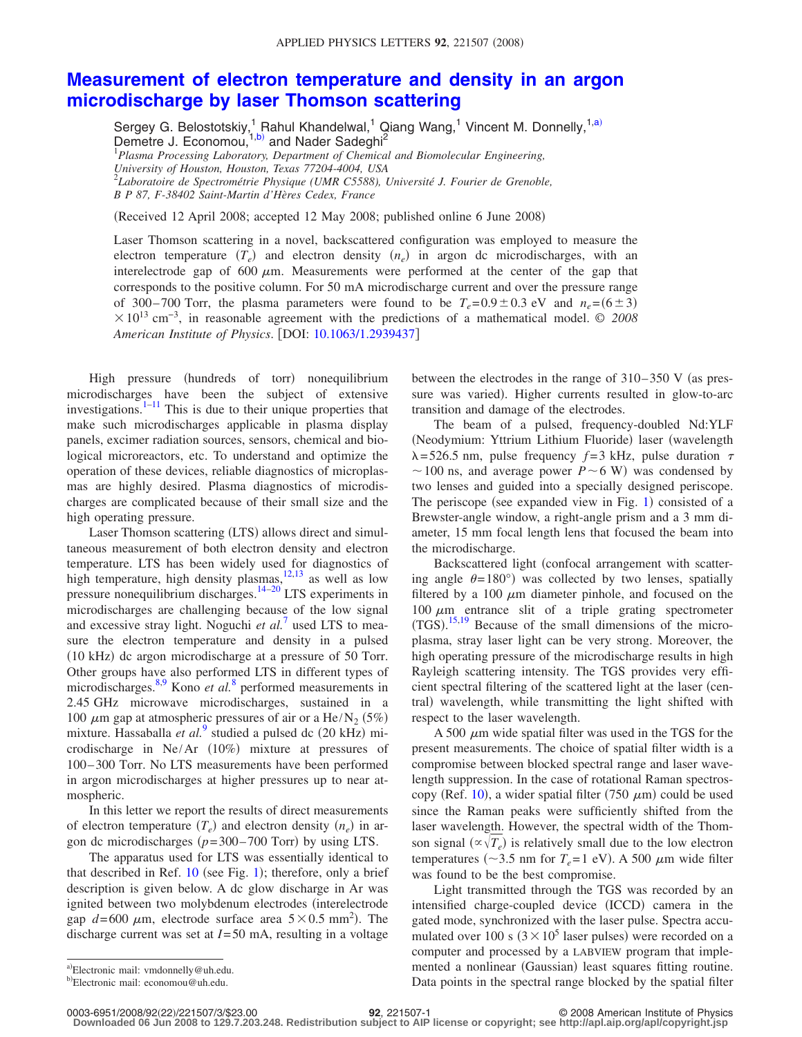## **[Measurement of electron temperature and density in an argon](http://dx.doi.org/10.1063/1.2939437) [microdischarge by laser Thomson scattering](http://dx.doi.org/10.1063/1.2939437)**

Sergey G. Belostotskiy,<sup>1</sup> Rahul Khandelwal,<sup>1</sup> Qiang Wang,<sup>1</sup> Vincent M. Donnelly,<sup>1[,a](#page-0-0))</sup> Demetre J. Economou,<sup>1[,b](#page-0-1))</sup> and Nader Sadeghi<sup>2</sup> 1 *Plasma Processing Laboratory, Department of Chemical and Biomolecular Engineering, University of Houston, Houston, Texas 77204-4004, USA* 2 *Laboratoire de Spectrométrie Physique (UMR C5588), Université J. Fourier de Grenoble, B P 87, F-38402 Saint-Martin d'Hères Cedex, France*

(Received 12 April 2008; accepted 12 May 2008; published online 6 June 2008)

Laser Thomson scattering in a novel, backscattered configuration was employed to measure the electron temperature  $(T_e)$  and electron density  $(n_e)$  in argon dc microdischarges, with an interelectrode gap of 600  $\mu$ m. Measurements were performed at the center of the gap that corresponds to the positive column. For 50 mA microdischarge current and over the pressure range of 300–700 Torr, the plasma parameters were found to be  $T_e = 0.9 \pm 0.3$  eV and  $n_e = (6 \pm 3)$  $\times$ 10<sup>13</sup> cm<sup>-3</sup>, in reasonable agreement with the predictions of a mathematical model. © 2008 *American Institute of Physics*. DOI: [10.1063/1.2939437](http://dx.doi.org/10.1063/1.2939437)

High pressure (hundreds of torr) nonequilibrium microdischarges have been the subject of extensive investigations. $1-11$  This is due to their unique properties that make such microdischarges applicable in plasma display panels, excimer radiation sources, sensors, chemical and biological microreactors, etc. To understand and optimize the operation of these devices, reliable diagnostics of microplasmas are highly desired. Plasma diagnostics of microdischarges are complicated because of their small size and the high operating pressure.

Laser Thomson scattering (LTS) allows direct and simultaneous measurement of both electron density and electron temperature. LTS has been widely used for diagnostics of high temperature, high density plasmas, $12,13$  $12,13$  as well as low pressure nonequilibrium discharges.<sup>14[–20](#page-2-5)</sup> LTS experiments in microdischarges are challenging because of the low signal and excessive stray light. Noguchi *et al.*<sup>[7](#page-2-6)</sup> used LTS to measure the electron temperature and density in a pulsed (10 kHz) dc argon microdischarge at a pressure of 50 Torr. Other groups have also performed LTS in different types of microdischarges.<sup>8[,9](#page-2-8)</sup> Kono *et al.*<sup>[8](#page-2-7)</sup> performed measurements in 2.45 GHz microwave microdischarges, sustained in a 100  $\mu$ m gap at atmospheric pressures of air or a He/N<sub>2</sub> (5%) mixture. Hassaballa et al.<sup>[9](#page-2-8)</sup> studied a pulsed dc (20 kHz) microdischarge in Ne/Ar (10%) mixture at pressures of 100– 300 Torr. No LTS measurements have been performed in argon microdischarges at higher pressures up to near atmospheric.

In this letter we report the results of direct measurements of electron temperature  $(T_e)$  and electron density  $(n_e)$  in argon dc microdischarges  $(p=300-700 \text{ Torr})$  by using LTS.

The apparatus used for LTS was essentially identical to that described in Ref.  $10$  (see Fig. [1](#page-1-0)); therefore, only a brief description is given below. A dc glow discharge in Ar was ignited between two molybdenum electrodes (interelectrode gap  $d = 600 \mu m$ , electrode surface area  $5 \times 0.5 \text{ mm}^2$ ). The discharge current was set at *I*= 50 mA, resulting in a voltage

<span id="page-0-1"></span><span id="page-0-0"></span>a)Electronic mail: vmdonnelly@uh.edu.

between the electrodes in the range of  $310-350$  V (as pressure was varied). Higher currents resulted in glow-to-arc transition and damage of the electrodes.

The beam of a pulsed, frequency-doubled Nd:YLF (Neodymium: Yttrium Lithium Fluoride) laser (wavelength  $\lambda$ = 526.5 nm, pulse frequency  $f = 3$  kHz, pulse duration  $\tau$  $\sim$  100 ns, and average power *P* $\sim$  6 W) was condensed by two lenses and guided into a specially designed periscope. The periscope (see expanded view in Fig.  $1$ ) consisted of a Brewster-angle window, a right-angle prism and a 3 mm diameter, 15 mm focal length lens that focused the beam into the microdischarge.

Backscattered light (confocal arrangement with scattering angle  $\theta = 180^\circ$ ) was collected by two lenses, spatially filtered by a 100  $\mu$ m diameter pinhole, and focused on the 100  $\mu$ m entrance slit of a triple grating spectrometer  $(TGS)$ .<sup>[15](#page-2-10)[,19](#page-2-11)</sup> Because of the small dimensions of the microplasma, stray laser light can be very strong. Moreover, the high operating pressure of the microdischarge results in high Rayleigh scattering intensity. The TGS provides very efficient spectral filtering of the scattered light at the laser (central) wavelength, while transmitting the light shifted with respect to the laser wavelength.

A 500  $\mu$ m wide spatial filter was used in the TGS for the present measurements. The choice of spatial filter width is a compromise between blocked spectral range and laser wavelength suppression. In the case of rotational Raman spectros-copy (Ref. [10](#page-2-9)), a wider spatial filter (750  $\mu$ m) could be used since the Raman peaks were sufficiently shifted from the laser wavelength. However, the spectral width of the Thomson signal  $(\propto \sqrt{T_e})$  is relatively small due to the low electron temperatures ( $\sim$ 3.5 nm for  $T_e$ =1 eV). A 500  $\mu$ m wide filter was found to be the best compromise.

Light transmitted through the TGS was recorded by an intensified charge-coupled device (ICCD) camera in the gated mode, synchronized with the laser pulse. Spectra accumulated over 100 s  $(3 \times 10^5)$  laser pulses) were recorded on a computer and processed by a LABVIEW program that implemented a nonlinear (Gaussian) least squares fitting routine. Data points in the spectral range blocked by the spatial filter

22/221507/3/\$23.00 © 2008 American Institute of Physics **92**, 221507-1 **Downloaded 06 Jun 2008 to 129.7.203.248. Redistribution subject to AIP license or copyright; see http://apl.aip.org/apl/copyright.jsp**

b)Electronic mail: economou@uh.edu.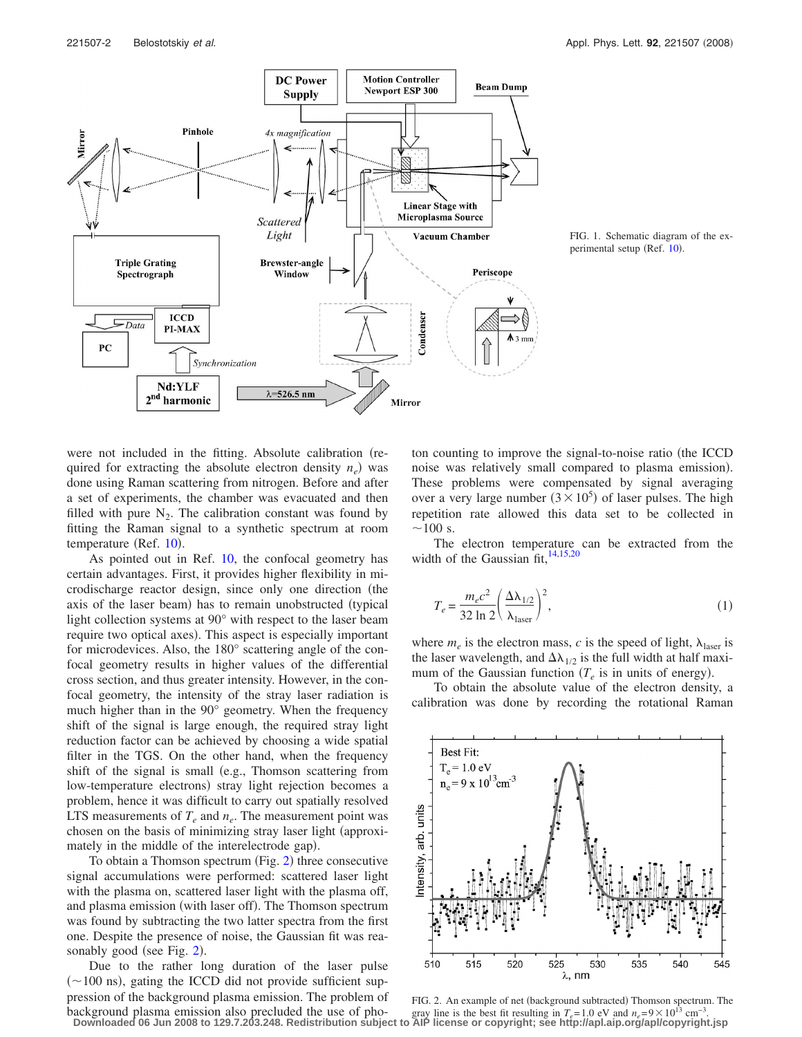<span id="page-1-0"></span>

FIG. 1. Schematic diagram of the ex-perimental setup (Ref. [10](#page-2-9)).

were not included in the fitting. Absolute calibration (required for extracting the absolute electron density  $n_e$ ) was done using Raman scattering from nitrogen. Before and after a set of experiments, the chamber was evacuated and then filled with pure  $N_2$ . The calibration constant was found by fitting the Raman signal to a synthetic spectrum at room temperature (Ref. [10](#page-2-9)).

As pointed out in Ref. [10,](#page-2-9) the confocal geometry has certain advantages. First, it provides higher flexibility in microdischarge reactor design, since only one direction (the axis of the laser beam) has to remain unobstructed (typical light collection systems at 90° with respect to the laser beam require two optical axes). This aspect is especially important for microdevices. Also, the 180° scattering angle of the confocal geometry results in higher values of the differential cross section, and thus greater intensity. However, in the confocal geometry, the intensity of the stray laser radiation is much higher than in the 90° geometry. When the frequency shift of the signal is large enough, the required stray light reduction factor can be achieved by choosing a wide spatial filter in the TGS. On the other hand, when the frequency shift of the signal is small (e.g., Thomson scattering from low-temperature electrons) stray light rejection becomes a problem, hence it was difficult to carry out spatially resolved LTS measurements of  $T_e$  and  $n_e$ . The measurement point was chosen on the basis of minimizing stray laser light (approximately in the middle of the interelectrode gap).

To obtain a Thomson spectrum (Fig. [2](#page-1-1)) three consecutive signal accumulations were performed: scattered laser light with the plasma on, scattered laser light with the plasma off, and plasma emission (with laser off). The Thomson spectrum was found by subtracting the two latter spectra from the first one. Despite the presence of noise, the Gaussian fit was rea-sonably good (see Fig. [2](#page-1-1)).

Due to the rather long duration of the laser pulse  $(\sim 100 \text{ ns})$ , gating the ICCD did not provide sufficient suppression of the background plasma emission. The problem of background plasma emission also precluded the use of photon counting to improve the signal-to-noise ratio (the ICCD noise was relatively small compared to plasma emission). These problems were compensated by signal averaging over a very large number  $(3 \times 10^5)$  of laser pulses. The high repetition rate allowed this data set to be collected in  $\sim$ 100 s.

The electron temperature can be extracted from the width of the Gaussian  $fit, <sup>14,15,20</sup>$  $fit, <sup>14,15,20</sup>$  $fit, <sup>14,15,20</sup>$  $fit, <sup>14,15,20</sup>$ 

$$
T_e = \frac{m_e c^2}{32 \ln 2} \left(\frac{\Delta \lambda_{1/2}}{\lambda_{\text{laser}}}\right)^2,\tag{1}
$$

where  $m_e$  is the electron mass, *c* is the speed of light,  $\lambda_{\text{laser}}$  is the laser wavelength, and  $\Delta\lambda_{1/2}$  is the full width at half maximum of the Gaussian function  $(T_e$  is in units of energy).

<span id="page-1-1"></span>To obtain the absolute value of the electron density, a calibration was done by recording the rotational Raman



FIG. 2. An example of net (background subtracted) Thomson spectrum. The gray line is the best fit resulting in  $T_e$ = 1.0 eV and  $n_e$ =9 × 10<sup>13</sup> cm<sup>-3</sup> **Downloaded 06 Jun 2008 to 129.7.203.248. Redistribution subject to AIP license or copyright; see http://apl.aip.org/apl/copyright.jsp**